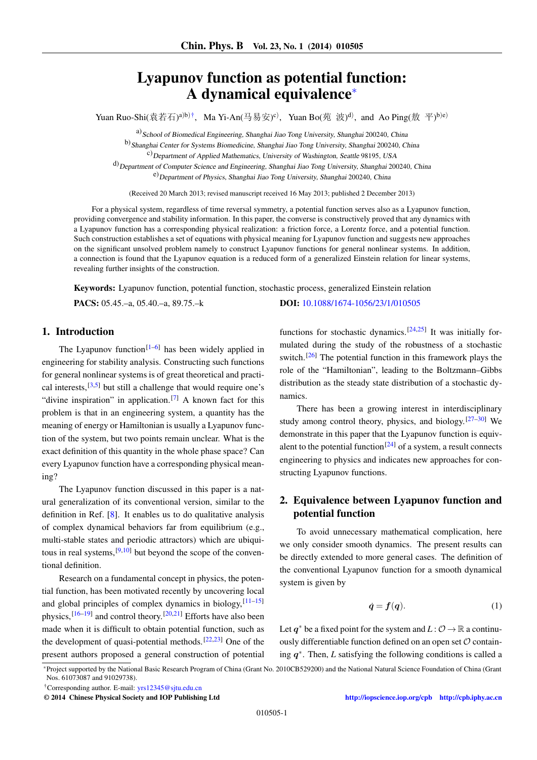# Lyapunov function as potential function: A dynamical equivalence[\\*](#page-0-0)

Yuan Ruo-Shi $(\ { R#石)<sup>a)b)†</sup>,Ma Yi-An(马易安)<sup>c)</sup>,Yuan Bo(苑 波)<sup>d)</sup>,and Ao Ping(敖 平)<sup>b)e)</sup>$  $(\ { R#石)<sup>a)b)†</sup>,Ma Yi-An(马易安)<sup>c)</sup>,Yuan Bo(苑 波)<sup>d)</sup>,and Ao Ping(敖 平)<sup>b)e)</sup>$  $(\ { R#石)<sup>a)b)†</sup>,Ma Yi-An(马易安)<sup>c)</sup>,Yuan Bo(苑 波)<sup>d)</sup>,and Ao Ping(敖 平)<sup>b)e)</sup>$ 

a) School of Biomedical Engineering, Shanghai Jiao Tong University, Shanghai 200240, China

b) Shanghai Center for Systems Biomedicine, Shanghai Jiao Tong University, Shanghai 200240, China

 $c)$ Department of Applied Mathematics, University of Washington, Seattle 98195, USA

d) Department of Computer Science and Engineering, Shanghai Jiao Tong University, Shanghai 200240, China e) Department of Physics, Shanghai Jiao Tong University, Shanghai 200240, China

(Received 20 March 2013; revised manuscript received 16 May 2013; published 2 December 2013)

For a physical system, regardless of time reversal symmetry, a potential function serves also as a Lyapunov function, providing convergence and stability information. In this paper, the converse is constructively proved that any dynamics with a Lyapunov function has a corresponding physical realization: a friction force, a Lorentz force, and a potential function. Such construction establishes a set of equations with physical meaning for Lyapunov function and suggests new approaches on the significant unsolved problem namely to construct Lyapunov functions for general nonlinear systems. In addition, a connection is found that the Lyapunov equation is a reduced form of a generalized Einstein relation for linear systems, revealing further insights of the construction.

Keywords: Lyapunov function, potential function, stochastic process, generalized Einstein relation

PACS: 05.45.–a, 05.40.–a, 89.75.–k DOI: [10.1088/1674-1056/23/1/010505](http://dx.doi.org/10.1088/1674-1056/23/1/010505)

## 1. Introduction

The Lyapunov function<sup>[\[1–](#page-5-0)[6\]](#page-5-1)</sup> has been widely applied in engineering for stability analysis. Constructing such functions for general nonlinear systems is of great theoretical and practical interests,  $[3,5]$  $[3,5]$  but still a challenge that would require one's "divine inspiration" in application.<sup>[\[7\]](#page-5-4)</sup> A known fact for this problem is that in an engineering system, a quantity has the meaning of energy or Hamiltonian is usually a Lyapunov function of the system, but two points remain unclear. What is the exact definition of this quantity in the whole phase space? Can every Lyapunov function have a corresponding physical meaning?

The Lyapunov function discussed in this paper is a natural generalization of its conventional version, similar to the definition in Ref. [\[8\]](#page-5-5). It enables us to do qualitative analysis of complex dynamical behaviors far from equilibrium (e.g., multi-stable states and periodic attractors) which are ubiquitous in real systems,  $[9,10]$  $[9,10]$  but beyond the scope of the conventional definition.

Research on a fundamental concept in physics, the potential function, has been motivated recently by uncovering local and global principles of complex dynamics in biology,  $[11-15]$  $[11-15]$ physics,<sup>[\[16](#page-5-10)[–19\]](#page-5-11)</sup> and control theory.<sup>[\[20,](#page-5-12)[21\]](#page-5-13)</sup> Efforts have also been made when it is difficult to obtain potential function, such as the development of quasi-potential methods.<sup>[\[22](#page-5-14)[,23\]](#page-5-15)</sup> One of the present authors proposed a general construction of potential

functions for stochastic dynamics.<sup>[\[24](#page-5-16)[,25\]](#page-5-17)</sup> It was initially formulated during the study of the robustness of a stochastic switch.<sup>[\[26\]](#page-5-18)</sup> The potential function in this framework plays the role of the "Hamiltonian", leading to the Boltzmann–Gibbs distribution as the steady state distribution of a stochastic dynamics.

There has been a growing interest in interdisciplinary study among control theory, physics, and biology. $[27-30]$  $[27-30]$  We demonstrate in this paper that the Lyapunov function is equiv-alent to the potential function<sup>[\[24\]](#page-5-16)</sup> of a system, a result connects engineering to physics and indicates new approaches for constructing Lyapunov functions.

## 2. Equivalence between Lyapunov function and potential function

To avoid unnecessary mathematical complication, here we only consider smooth dynamics. The present results can be directly extended to more general cases. The definition of the conventional Lyapunov function for a smooth dynamical system is given by

<span id="page-0-2"></span>
$$
\dot{q} = f(q). \tag{1}
$$

Let  $q^*$  be a fixed point for the system and  $L: \mathcal{O} \to \mathbb{R}$  a continuously differentiable function defined on an open set  $O$  containing  $q^*$ . Then, *L* satisfying the following conditions is called a

<span id="page-0-0"></span>\*Project supported by the National Basic Research Program of China (Grant No. 2010CB529200) and the National Natural Science Foundation of China (Grant Nos. 61073087 and 91029738).

<span id="page-0-1"></span>†Corresponding author. E-mail: [yrs12345@sjtu.edu.cn](mailto:yrs12345@sjtu.edu.cn)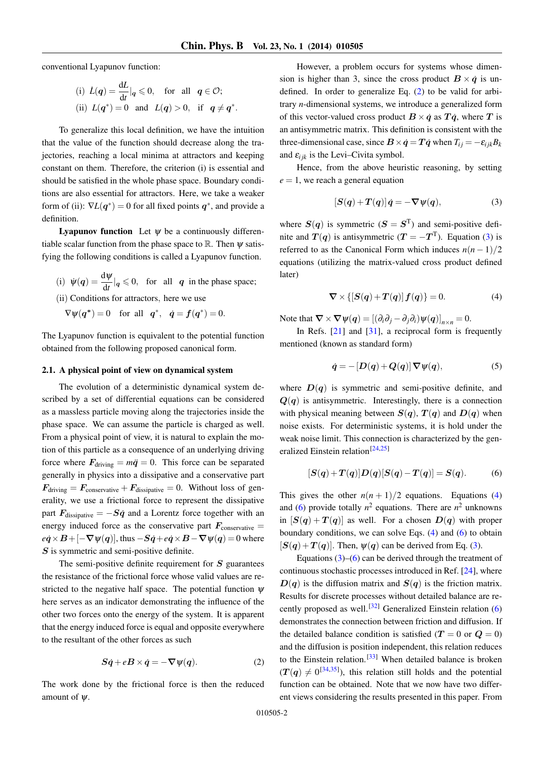.

conventional Lyapunov function:

(i) 
$$
\dot{L}(q) = \frac{dL}{dt}|_q \le 0
$$
, for all  $q \in \mathcal{O}$ ;  
\n(ii)  $L(q^*) = 0$  and  $L(q) > 0$ , if  $q \ne q^*$ 

To generalize this local definition, we have the intuition that the value of the function should decrease along the trajectories, reaching a local minima at attractors and keeping constant on them. Therefore, the criterion (i) is essential and should be satisfied in the whole phase space. Boundary conditions are also essential for attractors. Here, we take a weaker form of (ii):  $\nabla L(\mathbf{q}^*) = 0$  for all fixed points  $\mathbf{q}^*$ , and provide a definition.

**Lyapunov function** Let  $\psi$  be a continuously differentiable scalar function from the phase space to  $\mathbb R$ . Then  $\psi$  satisfying the following conditions is called a Lyapunov function.

- (i)  $\psi(q) = \frac{d\psi}{dt}|_q \leq 0$ , for all q in the phase space; (ii) Conditions for attractors, here we use
- $\nabla \psi(q^*) = 0$  for all  $q^*$ ,  $\dot{q} = f(q^*) = 0$ .

The Lyapunov function is equivalent to the potential function

## 2.1. A physical point of view on dynamical system

obtained from the following proposed canonical form.

The evolution of a deterministic dynamical system described by a set of differential equations can be considered as a massless particle moving along the trajectories inside the phase space. We can assume the particle is charged as well. From a physical point of view, it is natural to explain the motion of this particle as a consequence of an underlying driving force where  $F_{\text{driving}} = m\ddot{q} = 0$ . This force can be separated generally in physics into a dissipative and a conservative part  $\mathbf{F}_{\text{driving}} = \mathbf{F}_{\text{conservative}} + \mathbf{F}_{\text{dissipative}} = 0.$  Without loss of generality, we use a frictional force to represent the dissipative part  $F_{\text{dissinative}} = -S\dot{q}$  and a Lorentz force together with an energy induced force as the conservative part  $F_{\text{conservative}} =$  $e\dot{q} \times B + [-\nabla \psi(q)]$ , thus  $-S\dot{q} + e\dot{q} \times B - \nabla \psi(q) = 0$  where  $S$  is symmetric and semi-positive definite.

The semi-positive definite requirement for  $S$  guarantees the resistance of the frictional force whose valid values are restricted to the negative half space. The potential function  $\psi$ here serves as an indicator demonstrating the influence of the other two forces onto the energy of the system. It is apparent that the energy induced force is equal and opposite everywhere to the resultant of the other forces as such

<span id="page-1-0"></span>
$$
S\dot{q} + eB \times \dot{q} = -\nabla \psi(q). \tag{2}
$$

The work done by the frictional force is then the reduced amount of  $\psi$ .

However, a problem occurs for systems whose dimension is higher than 3, since the cross product  $\mathbf{B} \times \dot{\mathbf{q}}$  is undefined. In order to generalize Eq. [\(2\)](#page-1-0) to be valid for arbitrary *n*-dimensional systems, we introduce a generalized form of this vector-valued cross product  $B \times \dot{q}$  as  $T\dot{q}$ , where T is an antisymmetric matrix. This definition is consistent with the three-dimensional case, since  $\mathbf{B} \times \dot{\mathbf{q}} = \mathbf{T} \dot{\mathbf{q}}$  when  $T_{ij} = -\varepsilon_{ijk} B_k$ and  $\varepsilon_{ijk}$  is the Levi–Civita symbol.

Hence, from the above heuristic reasoning, by setting  $e = 1$ , we reach a general equation

<span id="page-1-1"></span>
$$
[S(q) + T(q)]\dot{q} = -\nabla \psi(q), \qquad (3)
$$

where  $S(q)$  is symmetric  $(S = S<sup>T</sup>)$  and semi-positive definite and  $T(q)$  is antisymmetric ( $T = -T<sup>T</sup>$ ). Equation [\(3\)](#page-1-1) is referred to as the Canonical Form which induces  $n(n-1)/2$ equations (utilizing the matrix-valued cross product defined later)

<span id="page-1-2"></span>
$$
\nabla \times \{ [S(q) + T(q)] f(q) \} = 0. \tag{4}
$$

Note that  $\nabla \times \nabla \psi(q) = [(\partial_i \partial_j - \partial_j \partial_i) \psi(q)]_{n \times n} = 0.$ 

In Refs. [\[21\]](#page-5-13) and [\[31\]](#page-5-21), a reciprocal form is frequently mentioned (known as standard form)

<span id="page-1-4"></span>
$$
\dot{q} = -\left[D(q) + Q(q)\right]\nabla\psi(q),\tag{5}
$$

where  $D(q)$  is symmetric and semi-positive definite, and  $Q(q)$  is antisymmetric. Interestingly, there is a connection with physical meaning between  $S(q)$ ,  $T(q)$  and  $D(q)$  when noise exists. For deterministic systems, it is hold under the weak noise limit. This connection is characterized by the gen-eralized Einstein relation<sup>[\[24](#page-5-16)[,25\]](#page-5-17)</sup>

<span id="page-1-3"></span>
$$
[S(q) + T(q)]D(q)[S(q) - T(q)] = S(q). \tag{6}
$$

This gives the other  $n(n + 1)/2$  equations. Equations [\(4\)](#page-1-2) and [\(6\)](#page-1-3) provide totally  $n^2$  equations. There are  $n^2$  unknowns in  $[S(q) + T(q)]$  as well. For a chosen  $D(q)$  with proper boundary conditions, we can solve Eqs. [\(4\)](#page-1-2) and [\(6\)](#page-1-3) to obtain  $[S(q) + T(q)]$ . Then,  $\psi(q)$  can be derived from Eq. [\(3\)](#page-1-1).

Equations  $(3)$ – $(6)$  can be derived through the treatment of continuous stochastic processes introduced in Ref. [\[24\]](#page-5-16), where  $D(q)$  is the diffusion matrix and  $S(q)$  is the friction matrix. Results for discrete processes without detailed balance are re-cently proposed as well.<sup>[\[32\]](#page-5-22)</sup> Generalized Einstein relation  $(6)$ demonstrates the connection between friction and diffusion. If the detailed balance condition is satisfied  $(T = 0 \text{ or } Q = 0)$ and the diffusion is position independent, this relation reduces to the Einstein relation.<sup>[\[33\]](#page-5-23)</sup> When detailed balance is broken  $(T(q) \neq 0^{[34,35]})$  $(T(q) \neq 0^{[34,35]})$  $(T(q) \neq 0^{[34,35]})$  $(T(q) \neq 0^{[34,35]})$ , this relation still holds and the potential function can be obtained. Note that we now have two different views considering the results presented in this paper. From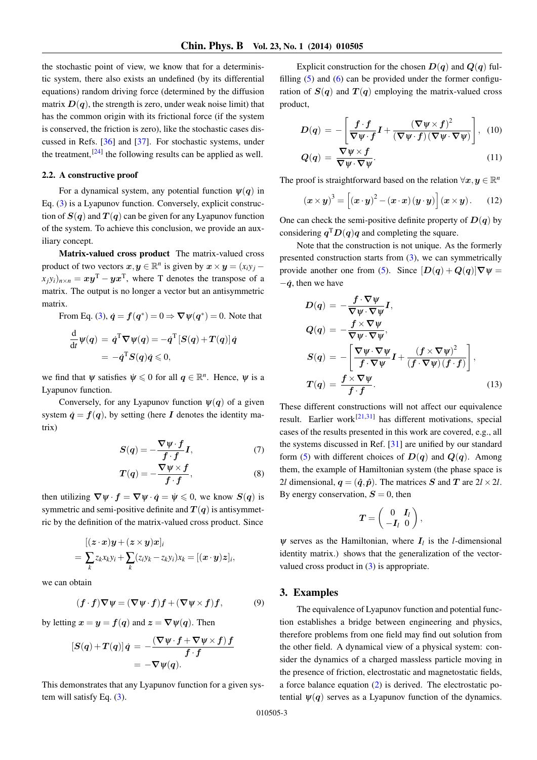the stochastic point of view, we know that for a deterministic system, there also exists an undefined (by its differential equations) random driving force (determined by the diffusion matrix  $D(q)$ , the strength is zero, under weak noise limit) that has the common origin with its frictional force (if the system is conserved, the friction is zero), like the stochastic cases discussed in Refs. [\[36\]](#page-5-26) and [\[37\]](#page-5-27). For stochastic systems, under the treatment,  $[24]$  the following results can be applied as well.

### 2.2. A constructive proof

For a dynamical system, any potential function  $\psi(q)$  in Eq. [\(3\)](#page-1-1) is a Lyapunov function. Conversely, explicit construction of  $S(q)$  and  $T(q)$  can be given for any Lyapunov function of the system. To achieve this conclusion, we provide an auxiliary concept.

Matrix-valued cross product The matrix-valued cross product of two vectors  $x, y \in \mathbb{R}^n$  is given by  $x \times y = (x_i y_j (x_j y_i)_{n \times n} = xy^{\text{T}} - yx^{\text{T}}$ , where T denotes the transpose of a matrix. The output is no longer a vector but an antisymmetric matrix.

From Eq. [\(3\)](#page-1-1),  $\dot{q} = f(q^*) = 0 \Rightarrow \nabla \psi(q^*) = 0$ . Note that

$$
\frac{\mathrm{d}}{\mathrm{d}t}\psi(q) = \dot{q}^{\mathrm{T}}\nabla\psi(q) = -\dot{q}^{\mathrm{T}}[S(q) + T(q)]\dot{q}
$$
\n
$$
= -\dot{q}^{\mathrm{T}}S(q)\dot{q} \leq 0,
$$

we find that  $\psi$  satisfies  $\psi \leq 0$  for all  $q \in \mathbb{R}^n$ . Hence,  $\psi$  is a Lyapunov function.

Conversely, for any Lyapunov function  $\Psi(q)$  of a given system  $\dot{q} = f(q)$ , by setting (here I denotes the identity matrix)

$$
S(q) = -\frac{\nabla \psi \cdot f}{f \cdot f} I,\tag{7}
$$

$$
T(q) = -\frac{\nabla \psi \times f}{f \cdot f},\tag{8}
$$

then utilizing  $\nabla \psi \cdot f = \nabla \psi \cdot \dot{q} = \dot{\psi} \leq 0$ , we know  $S(q)$  is symmetric and semi-positive definite and  $T(q)$  is antisymmetric by the definition of the matrix-valued cross product. Since

$$
[(\boldsymbol{z}\cdot\boldsymbol{x})\boldsymbol{y}+(\boldsymbol{z}\times\boldsymbol{y})\boldsymbol{x}]_i
$$
  
= 
$$
\sum_k z_k x_k y_i + \sum_k (z_i y_k - z_k y_i) x_k = [(\boldsymbol{x}\cdot\boldsymbol{y})\boldsymbol{z}]_i,
$$

we can obtain

$$
(\boldsymbol{f} \cdot \boldsymbol{f}) \nabla \psi = (\nabla \psi \cdot \boldsymbol{f}) \boldsymbol{f} + (\nabla \psi \times \boldsymbol{f}) \boldsymbol{f}, \tag{9}
$$

by letting  $x = y = f(q)$  and  $z = \nabla \psi(q)$ . Then

$$
[S(q) + T(q)]\dot{q} = -\frac{(\nabla \psi \cdot f + \nabla \psi \times f) f}{f \cdot f}
$$
  
= -\nabla \psi(q).

This demonstrates that any Lyapunov function for a given system will satisfy Eq. [\(3\)](#page-1-1).

Explicit construction for the chosen  $D(q)$  and  $Q(q)$  fulfilling  $(5)$  and  $(6)$  can be provided under the former configuration of  $S(q)$  and  $T(q)$  employing the matrix-valued cross product,

$$
D(q) = -\left[\frac{f \cdot f}{\nabla \psi \cdot f} I + \frac{(\nabla \psi \times f)^2}{(\nabla \psi \cdot f)(\nabla \psi \cdot \nabla \psi)}\right], (10)
$$

<span id="page-2-0"></span>
$$
Q(q) = \frac{\nabla \psi \times f}{\nabla \psi \cdot \nabla \psi}.
$$
 (11)

The proof is straightforward based on the relation  $\forall x, y \in \mathbb{R}^n$ 

$$
(\boldsymbol{x} \times \boldsymbol{y})^3 = \left[ (\boldsymbol{x} \cdot \boldsymbol{y})^2 - (\boldsymbol{x} \cdot \boldsymbol{x}) (\boldsymbol{y} \cdot \boldsymbol{y}) \right] (\boldsymbol{x} \times \boldsymbol{y}). \qquad (12)
$$

One can check the semi-positive definite property of  $D(q)$  by considering  $q^T D(q) q$  and completing the square.

Note that the construction is not unique. As the formerly presented construction starts from [\(3\)](#page-1-1), we can symmetrically provide another one from [\(5\)](#page-1-4). Since  $[D(q) + Q(q)]\nabla \psi =$  $-\dot{q}$ , then we have

$$
D(q) = -\frac{f \cdot \nabla \psi}{\nabla \psi \cdot \nabla \psi} I,
$$
  
\n
$$
Q(q) = -\frac{f \times \nabla \psi}{\nabla \psi \cdot \nabla \psi},
$$
  
\n
$$
S(q) = -\left[\frac{\nabla \psi \cdot \nabla \psi}{f \cdot \nabla \psi} I + \frac{(f \times \nabla \psi)^2}{(f \cdot \nabla \psi)(f \cdot f)}\right],
$$
  
\n
$$
T(q) = \frac{f \times \nabla \psi}{f \cdot f}.
$$
\n(13)

These different constructions will not affect our equivalence result. Earlier work<sup>[\[21](#page-5-13)[,31\]](#page-5-21)</sup> has different motivations, special cases of the results presented in this work are covered, e.g., all the systems discussed in Ref. [\[31\]](#page-5-21) are unified by our standard form [\(5\)](#page-1-4) with different choices of  $D(q)$  and  $Q(q)$ . Among them, the example of Hamiltonian system (the phase space is 2*l* dimensional,  $q = (\hat{q}, \hat{p})$ . The matrices S and T are  $2l \times 2l$ . By energy conservation,  $S = 0$ , then

$$
\boldsymbol{T} = \left(\begin{array}{cc} 0 & \boldsymbol{I}_l \\ -\boldsymbol{I}_l & 0 \end{array}\right),
$$

 $\psi$  serves as the Hamiltonian, where  $I_l$  is the *l*-dimensional identity matrix.) shows that the generalization of the vectorvalued cross product in [\(3\)](#page-1-1) is appropriate.

#### 3. Examples

The equivalence of Lyapunov function and potential function establishes a bridge between engineering and physics, therefore problems from one field may find out solution from the other field. A dynamical view of a physical system: consider the dynamics of a charged massless particle moving in the presence of friction, electrostatic and magnetostatic fields, a force balance equation [\(2\)](#page-1-0) is derived. The electrostatic potential  $\psi(q)$  serves as a Lyapunov function of the dynamics.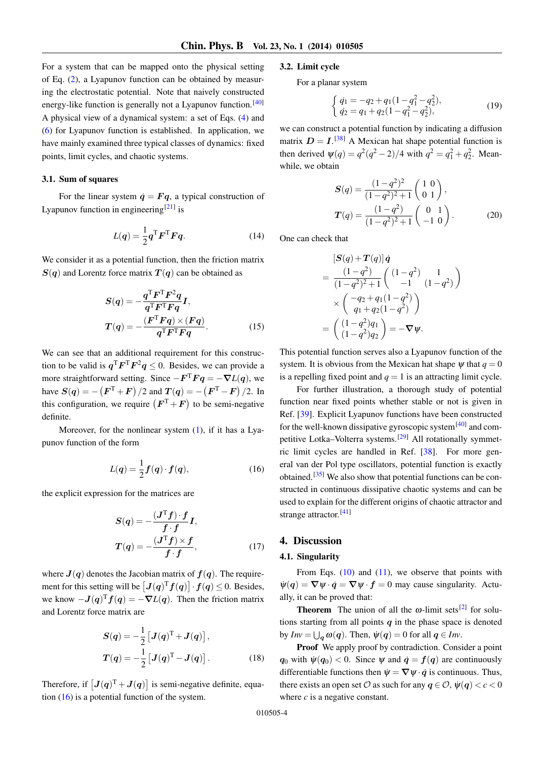For a system that can be mapped onto the physical setting of Eq. [\(2\)](#page-1-0), a Lyapunov function can be obtained by measuring the electrostatic potential. Note that naively constructed energy-like function is generally not a Lyapunov function.<sup>[\[40\]](#page-5-28)</sup> A physical view of a dynamical system: a set of Eqs. [\(4\)](#page-1-2) and [\(6\)](#page-1-3) for Lyapunov function is established. In application, we have mainly examined three typical classes of dynamics: fixed points, limit cycles, and chaotic systems.

#### 3.1. Sum of squares

For the linear system  $\dot{q} = Fq$ , a typical construction of Lyapunov function in engineering<sup>[\[21\]](#page-5-13)</sup> is

$$
L(q) = \frac{1}{2} \mathbf{q}^{\mathrm{T}} \mathbf{F}^{\mathrm{T}} \mathbf{F} \mathbf{q}.
$$
 (14)

We consider it as a potential function, then the friction matrix  $S(q)$  and Lorentz force matrix  $T(q)$  can be obtained as

$$
S(q) = -\frac{q^{T}F^{T}F^{2}q}{q^{T}F^{T}Fq}I,
$$

$$
T(q) = -\frac{(F^{T}Fq) \times (Fq)}{q^{T}F^{T}Fq}.
$$
(15)

We can see that an additional requirement for this construction to be valid is  $q^{T}F^{T}F^{2}q \leq 0$ . Besides, we can provide a more straightforward setting. Since  $-F^{T}Fq = -\nabla L(q)$ , we have  $S(q) = -\left( F^{\text{T}} + F \right)/2$  and  $T(q) = -\left( F^{\text{T}} - F \right)/2$ . In this configuration, we require  $(F^{T} + F)$  to be semi-negative definite.

Moreover, for the nonlinear system  $(1)$ , if it has a Lyapunov function of the form

<span id="page-3-0"></span>
$$
L(q) = \frac{1}{2}f(q) \cdot f(q), \qquad (16)
$$

the explicit expression for the matrices are

$$
S(q) = -\frac{(J^{T}f) \cdot f}{f \cdot f} I,
$$
  
\n
$$
T(q) = -\frac{(J^{T}f) \times f}{f \cdot f},
$$
\n(17)

where  $J(q)$  denotes the Jacobian matrix of  $f(q)$ . The requirement for this setting will be  $[J(q)^T f(q)] \cdot f(q) \leq 0$ . Besides, we know  $-J(q)^T f(q) = -\nabla L(q)$ . Then the friction matrix and Lorentz force matrix are

$$
S(q) = -\frac{1}{2} \left[ J(q)^{\mathrm{T}} + J(q) \right],
$$
  

$$
T(q) = -\frac{1}{2} \left[ J(q)^{\mathrm{T}} - J(q) \right].
$$
 (18)

Therefore, if  $[J(q)^{T} + J(q)]$  is semi-negative definite, equation  $(16)$  is a potential function of the system.

#### 3.2. Limit cycle

For a planar system

$$
\begin{cases} \dot{q}_1 = -q_2 + q_1(1 - q_1^2 - q_2^2), \\ \dot{q}_2 = q_1 + q_2(1 - q_1^2 - q_2^2), \end{cases} \tag{19}
$$

we can construct a potential function by indicating a diffusion matrix  $D = I$ .<sup>[\[38\]](#page-5-29)</sup> A Mexican hat shape potential function is then derived  $\psi(q) = \frac{q^2(q^2 - 2)}{4}$  with  $q^2 = \frac{q_1^2 + q_2^2}{4}$ . Meanwhile, we obtain

$$
S(q) = \frac{(1-q^2)^2}{(1-q^2)^2+1} \begin{pmatrix} 1 & 0 \\ 0 & 1 \end{pmatrix},
$$
  
\n
$$
T(q) = \frac{(1-q^2)}{(1-q^2)^2+1} \begin{pmatrix} 0 & 1 \\ -1 & 0 \end{pmatrix}.
$$
 (20)

One can check that

$$
[\mathbf{S}(q) + \mathbf{T}(q)]\dot{q}
$$
  
= 
$$
\frac{(1-q^2)}{(1-q^2)^2+1} \begin{pmatrix} (1-q^2) & 1 \\ -1 & (1-q^2) \end{pmatrix}
$$
  

$$
\times \begin{pmatrix} -q_2+q_1(1-q^2) \\ q_1+q_2(1-q^2) \end{pmatrix}
$$
  
= 
$$
\begin{pmatrix} (1-q^2)q_1 \\ (1-q^2)q_2 \end{pmatrix} = -\nabla \psi.
$$

This potential function serves also a Lyapunov function of the system. It is obvious from the Mexican hat shape  $\psi$  that  $q = 0$ is a repelling fixed point and  $q = 1$  is an attracting limit cycle.

For further illustration, a thorough study of potential function near fixed points whether stable or not is given in Ref. [\[39\]](#page-5-30). Explicit Lyapunov functions have been constructed for the well-known dissipative gyroscopic system<sup>[\[40\]](#page-5-28)</sup> and com-petitive Lotka–Volterra systems.<sup>[\[29\]](#page-5-31)</sup> All rotationally symmetric limit cycles are handled in Ref. [\[38\]](#page-5-29). For more general van der Pol type oscillators, potential function is exactly obtained.<sup>[\[35\]](#page-5-25)</sup> We also show that potential functions can be constructed in continuous dissipative chaotic systems and can be used to explain for the different origins of chaotic attractor and strange attractor.<sup>[\[41\]](#page-5-32)</sup>

## 4. Discussion

#### 4.1. Singularity

From Eqs.  $(10)$  and  $(11)$ , we observe that points with  $\psi(q) = \nabla \psi \cdot \dot{q} = \nabla \psi \cdot f = 0$  may cause singularity. Actually, it can be proved that:

**Theorem** The union of all the  $\omega$ -limit sets<sup>[\[2\]](#page-5-33)</sup> for solutions starting from all points  $q$  in the phase space is denoted by  $Inv = \bigcup_{\mathbf{q}} \omega(\mathbf{q})$ . Then,  $\psi(\mathbf{q}) = 0$  for all  $\mathbf{q} \in Inv$ .

Proof We apply proof by contradiction. Consider a point  $q_0$  with  $\psi(q_0) < 0$ . Since  $\psi$  and  $\dot{q} = f(q)$  are continuously differentiable functions then  $\psi = \nabla \psi \cdot \dot{q}$  is continuous. Thus, there exists an open set  $\mathcal O$  as such for any  $q \in \mathcal O$ ,  $\psi(q) < c < 0$ where *c* is a negative constant.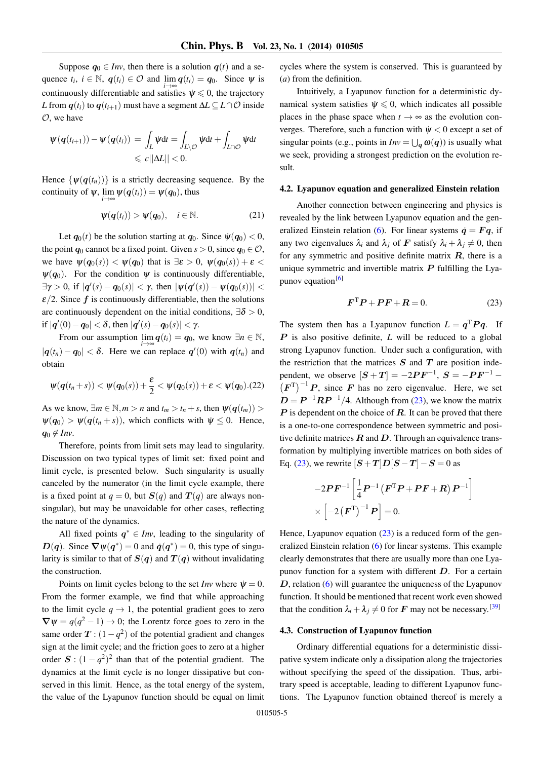Suppose  $q_0 \in Inv$ , then there is a solution  $q(t)$  and a sequence  $t_i$ ,  $i \in \mathbb{N}$ ,  $q(t_i) \in \mathcal{O}$  and  $\lim_{i \to \infty} q(t_i) = q_0$ . Since  $\psi$  is continuously differentiable and satisfies  $\psi \leq 0$ , the trajectory *L* from  $q(t_i)$  to  $q(t_{i+1})$  must have a segment  $\Delta L \subseteq L \cap \mathcal{O}$  inside  $\mathcal{O}$ , we have

$$
\psi(q(t_{i+1})) - \psi(q(t_i)) = \int_L \dot{\psi} dt = \int_{L \setminus \mathcal{O}} \dot{\psi} dt + \int_{L \cap \mathcal{O}} \dot{\psi} dt
$$
  
\$\leq c ||\Delta L|| < 0.\$

Hence  $\{\psi(q(t_n))\}$  is a strictly decreasing sequence. By the continuity of  $\psi$ ,  $\lim_{i \to \infty} \psi(q(t_i)) = \psi(q_0)$ , thus

$$
\psi(q(t_i)) > \psi(q_0), \quad i \in \mathbb{N}.
$$
 (21)

Let  $q_0(t)$  be the solution starting at  $q_0$ . Since  $\psi(q_0) < 0$ , the point  $q_0$  cannot be a fixed point. Given  $s > 0$ , since  $q_0 \in \mathcal{O}$ , we have  $\psi(q_0(s)) < \psi(q_0)$  that is  $\exists \varepsilon > 0$ ,  $\psi(q_0(s)) + \varepsilon <$  $\psi(q_0)$ . For the condition  $\psi$  is continuously differentiable,  $\exists γ > 0$ , if  $|q'(s) - q_0(s)| < γ$ , then  $|ψ(q'(s)) - ψ(q_0(s))| <$  $\epsilon/2$ . Since f is continuously differentiable, then the solutions are continuously dependent on the initial conditions,  $\exists \delta > 0$ , if  $|q'(0) - q_0| < \delta$ , then  $|q'(s) - q_0(s)| < \gamma$ .

From our assumption  $\lim_{i \to \infty} q(t_i) = q_0$ , we know  $\exists n \in \mathbb{N}$ ,  $|q(t_n) - q_0| < \delta$ . Here we can replace  $q'(0)$  with  $q(t_n)$  and obtain

$$
\psi(\boldsymbol{q}(t_n+s)) < \psi(\boldsymbol{q}_0(s)) + \frac{\varepsilon}{2} < \psi(\boldsymbol{q}_0(s)) + \varepsilon < \psi(\boldsymbol{q}_0). (22)
$$

As we know,  $\exists m \in \mathbb{N}, m > n$  and  $t_m > t_n + s$ , then  $\psi(q(t_m)) >$  $\Psi(q_0) > \Psi(q(t_n + s))$ , which conflicts with  $\psi \leq 0$ . Hence,  $q_0 \notin Inv.$ 

Therefore, points from limit sets may lead to singularity. Discussion on two typical types of limit set: fixed point and limit cycle, is presented below. Such singularity is usually canceled by the numerator (in the limit cycle example, there is a fixed point at  $q = 0$ , but  $S(q)$  and  $T(q)$  are always nonsingular), but may be unavoidable for other cases, reflecting the nature of the dynamics.

All fixed points  $q^* \in Inv$ , leading to the singularity of  $D(q)$ . Since  $\nabla \psi(q^*) = 0$  and  $\dot{q}(q^*) = 0$ , this type of singularity is similar to that of  $S(q)$  and  $T(q)$  without invalidating the construction.

Points on limit cycles belong to the set *Inv* where  $\dot{\psi} = 0$ . From the former example, we find that while approaching to the limit cycle  $q \rightarrow 1$ , the potential gradient goes to zero  $\nabla \psi = q(q^2 - 1) \rightarrow 0$ ; the Lorentz force goes to zero in the same order  $T$  :  $(1 - q^2)$  of the potential gradient and changes sign at the limit cycle; and the friction goes to zero at a higher order  $S : (1 - q^2)^2$  than that of the potential gradient. The dynamics at the limit cycle is no longer dissipative but conserved in this limit. Hence, as the total energy of the system, the value of the Lyapunov function should be equal on limit cycles where the system is conserved. This is guaranteed by (*a*) from the definition.

Intuitively, a Lyapunov function for a deterministic dynamical system satisfies  $\psi \leq 0$ , which indicates all possible places in the phase space when  $t \to \infty$  as the evolution converges. Therefore, such a function with  $\psi < 0$  except a set of singular points (e.g., points in  $Inv = \bigcup_{q} \omega(q)$ ) is usually what we seek, providing a strongest prediction on the evolution result.

#### 4.2. Lyapunov equation and generalized Einstein relation

Another connection between engineering and physics is revealed by the link between Lyapunov equation and the gen-eralized Einstein relation [\(6\)](#page-1-3). For linear systems  $\dot{q} = Fq$ , if any two eigenvalues  $\lambda_i$  and  $\lambda_j$  of F satisfy  $\lambda_i + \lambda_j \neq 0$ , then for any symmetric and positive definite matrix  $R$ , there is a unique symmetric and invertible matrix  $P$  fulfilling the Lyapunov equation $[6]$ 

<span id="page-4-0"></span>
$$
\boldsymbol{F}^{\mathrm{T}}\boldsymbol{P} + \boldsymbol{P}\boldsymbol{F} + \boldsymbol{R} = 0. \tag{23}
$$

The system then has a Lyapunov function  $L = q^T P q$ . If  $P$  is also positive definite,  $L$  will be reduced to a global strong Lyapunov function. Under such a configuration, with the restriction that the matrices  $S$  and  $T$  are position independent, we observe  $[S+T] = -2PF^{-1}$ ,  $S = -PF^{-1}$  –  $(F<sup>T</sup>)<sup>-1</sup> P$ , since F has no zero eigenvalue. Here, we set  $D = P^{-1}RP^{-1}/4$ . Although from [\(23\)](#page-4-0), we know the matrix  $\bf{P}$  is dependent on the choice of  $\bf{R}$ . It can be proved that there is a one-to-one correspondence between symmetric and positive definite matrices  $R$  and  $D$ . Through an equivalence transformation by multiplying invertible matrices on both sides of Eq. [\(23\)](#page-4-0), we rewrite  $[S+T]D[S-T]$  –  $S = 0$  as

$$
-2\boldsymbol{P}\boldsymbol{F}^{-1}\left[\frac{1}{4}\boldsymbol{P}^{-1}\left(\boldsymbol{F}^{\mathrm{T}}\boldsymbol{P}+\boldsymbol{P}\boldsymbol{F}+\boldsymbol{R}\right)\boldsymbol{P}^{-1}\right] \times\left[-2\left(\boldsymbol{F}^{\mathrm{T}}\right)^{-1}\boldsymbol{P}\right]=0.
$$

Hence, Lyapunov equation  $(23)$  is a reduced form of the generalized Einstein relation [\(6\)](#page-1-3) for linear systems. This example clearly demonstrates that there are usually more than one Lyapunov function for a system with different  $D$ . For a certain  $D$ , relation  $(6)$  will guarantee the uniqueness of the Lyapunov function. It should be mentioned that recent work even showed that the condition  $\lambda_i + \lambda_j \neq 0$  for **F** may not be necessary.<sup>[\[39\]](#page-5-30)</sup>

#### 4.3. Construction of Lyapunov function

Ordinary differential equations for a deterministic dissipative system indicate only a dissipation along the trajectories without specifying the speed of the dissipation. Thus, arbitrary speed is acceptable, leading to different Lyapunov functions. The Lyapunov function obtained thereof is merely a